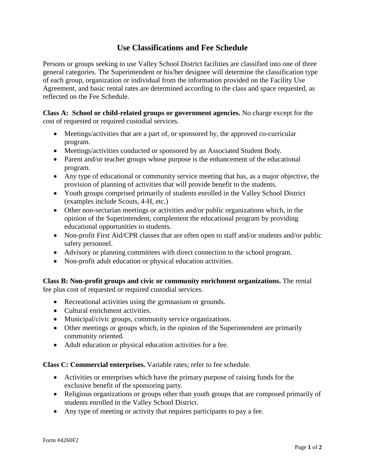## **Use Classifications and Fee Schedule**

Persons or groups seeking to use Valley School District facilities are classified into one of three general categories. The Superintendent or his/her designee will determine the classification type of each group, organization or individual from the information provided on the Facility Use Agreement, and basic rental rates are determined according to the class and space requested, as reflected on the Fee Schedule.

**Class A: School or child-related groups or government agencies.** No charge except for the cost of requested or required custodial services.

- Meetings/activities that are a part of, or sponsored by, the approved co-curricular program.
- Meetings/activities conducted or sponsored by an Associated Student Body.
- Parent and/or teacher groups whose purpose is the enhancement of the educational program.
- Any type of educational or community service meeting that has, as a major objective, the provision of planning of activities that will provide benefit to the students.
- Youth groups comprised primarily of students enrolled in the Valley School District (examples include Scouts, 4-H, etc.)
- Other non-sectarian meetings or activities and/or public organizations which, in the opinion of the Superintendent, complement the educational program by providing educational opportunities to students.
- Non-profit First Aid/CPR classes that are often open to staff and/or students and/or public safety personnel.
- Advisory or planning committees with direct connection to the school program.
- Non-profit adult education or physical education activities.

**Class B: Non-profit groups and civic or community enrichment organizations.** The rental fee plus cost of requested or required custodial services.

- Recreational activities using the gymnasium or grounds.
- Cultural enrichment activities.
- Municipal/civic groups, community service organizations.
- Other meetings or groups which, in the opinion of the Superintendent are primarily community oriented.
- Adult education or physical education activities for a fee.

**Class C: Commercial enterprises.** Variable rates; refer to fee schedule.

- Activities or enterprises which have the primary purpose of raising funds for the exclusive benefit of the sponsoring party.
- Religious organizations or groups other than youth groups that are composed primarily of students enrolled in the Valley School District.
- Any type of meeting or activity that requires participants to pay a fee.